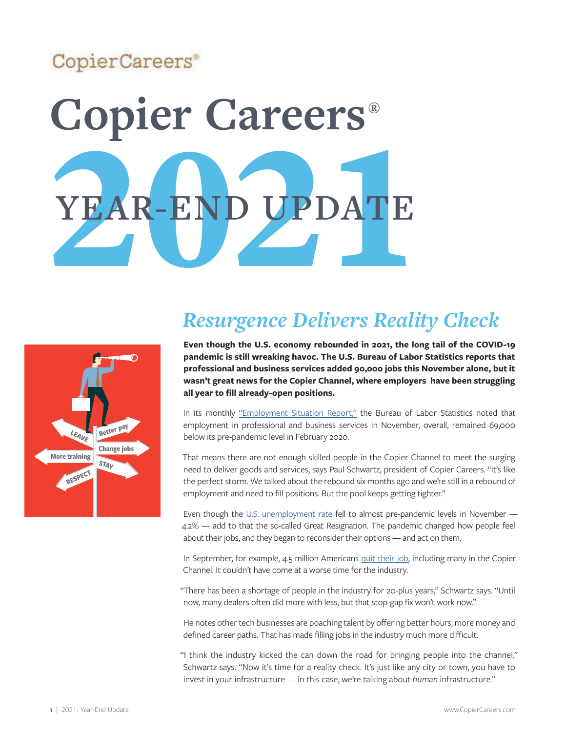## CopierCareers®

# YEAR-END UPDATE **Copier Careers® YEAR-END UPDATE**



## *Resurgence Delivers Reality Check*

**Even though the U.S. economy rebounded in 2021, the long tail of the COVID-19 pandemic is still wreaking havoc. The U.S. Bureau of Labor Statistics reports that professional and business services added 90,000 jobs this November alone, but it wasn't great news for the Copier Channel, where employers have been struggling all year to fill already-open positions.** 

In its monthly ["Employment Situation Report,"](https://www.bls.gov/news.release/archives/empsit_12032021.htm) the Bureau of Labor Statistics noted that employment in professional and business services in November, overall, remained 69,000 below its pre-pandemic level in February 2020.

That means there are not enough skilled people in the Copier Channel to meet the surging need to deliver goods and services, says Paul Schwartz, president of Copier Careers. "It's like the perfect storm. We talked about the rebound six months ago and we're still in a rebound of employment and need to fill positions. But the pool keeps getting tighter."

Even though the [U.S. unemployment rate](https://usafacts.org/articles/employers-added-559000-jobs-in-may-over-double-the-growth-of-april/) fell to almost pre-pandemic levels in November — 4.2% — add to that the so-called Great Resignation. The pandemic changed how people feel about their jobs, and they began to reconsider their options — and act on them.

In September, for example, 4.5 million Americans [quit their job,](https://usafacts.org/articles/august-job-growth-slowed-as-the-unemployment-rate-continued-to-decline/) including many in the Copier Channel. It couldn't have come at a worse time for the industry.

"There has been a shortage of people in the industry for 20-plus years," Schwartz says. "Until now, many dealers often did more with less, but that stop-gap fix won't work now."

He notes other tech businesses are poaching talent by offering better hours, more money and defined career paths. That has made filling jobs in the industry much more difficult.

"I think the industry kicked the can down the road for bringing people into the channel," Schwartz says. "Now it's time for a reality check. It's just like any city or town, you have to invest in your infrastructure — in this case, we're talking about *human* infrastructure."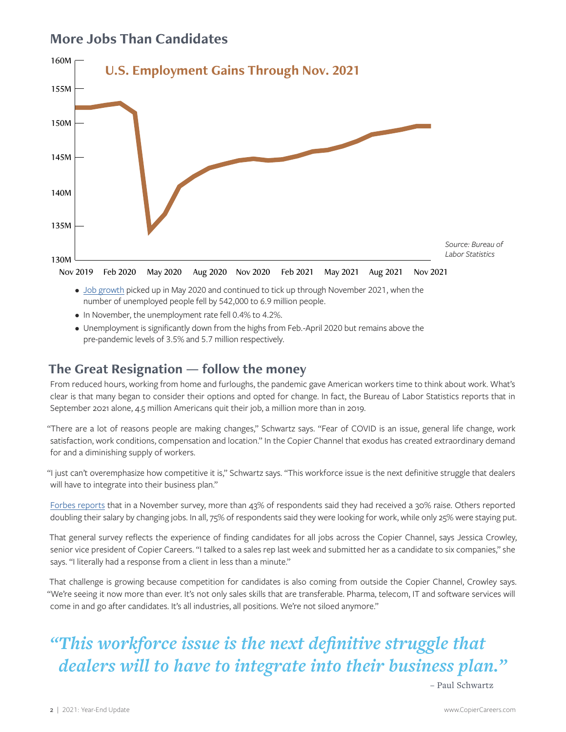## **More Jobs Than Candidates**



- [Job growth](https://usafacts.org/articles/august-job-growth-slowed-as-the-unemployment-rate-continued-to-decline/) picked up in May 2020 and continued to tick up through November 2021, when the number of unemployed people fell by 542,000 to 6.9 million people.
- In November, the unemployment rate fell 0.4% to 4.2%.
- Unemployment is significantly down from the highs from Feb.-April 2020 but remains above the pre-pandemic levels of 3.5% and 5.7 million respectively.

#### **The Great Resignation — follow the money**

From reduced hours, working from home and furloughs, the pandemic gave American workers time to think about work. What's clear is that many began to consider their options and opted for change. In fact, the Bureau of Labor Statistics reports that in September 2021 alone, 4.5 million Americans quit their job, a million more than in 2019.

"There are a lot of reasons people are making changes," Schwartz says. "Fear of COVID is an issue, general life change, work satisfaction, work conditions, compensation and location." In the Copier Channel that exodus has created extraordinary demand for and a diminishing supply of workers.

"I just can't overemphasize how competitive it is," Schwartz says. "This workforce issue is the next definitive struggle that dealers will have to integrate into their business plan."

[Forbes reports](https://www.forbes.com/sites/peterbendorsamuel/2021/12/15/surprising-truths-about-the-great-resignation-and-retaining-talent/?sh=5eaf82dd398b) that in a November survey, more than 43% of respondents said they had received a 30% raise. Others reported doubling their salary by changing jobs. In all, 75% of respondents said they were looking for work, while only 25% were staying put.

That general survey reflects the experience of finding candidates for all jobs across the Copier Channel, says Jessica Crowley, senior vice president of Copier Careers. "I talked to a sales rep last week and submitted her as a candidate to six companies," she says. "I literally had a response from a client in less than a minute."

That challenge is growing because competition for candidates is also coming from outside the Copier Channel, Crowley says. "We're seeing it now more than ever. It's not only sales skills that are transferable. Pharma, telecom, IT and software services will come in and go after candidates. It's all industries, all positions. We're not siloed anymore."

## *"This workforce issue is the next definitive struggle that dealers will to have to integrate into their business plan."*

– Paul Schwartz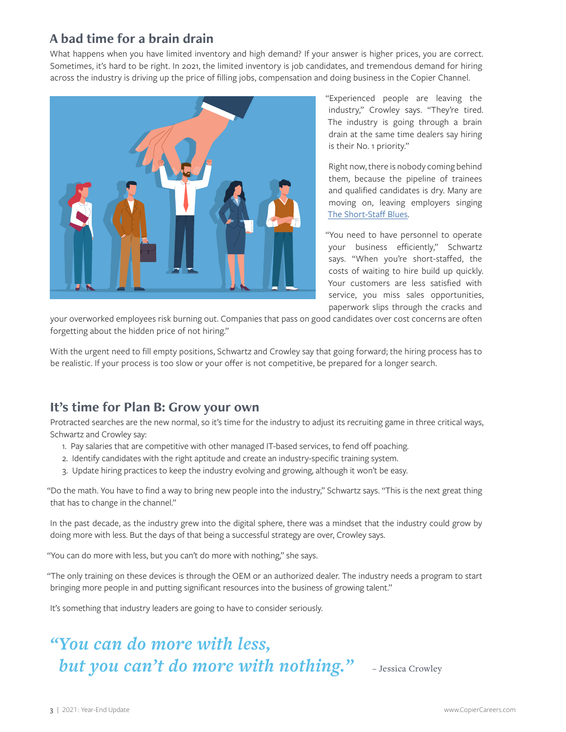### **A bad time for a brain drain**

What happens when you have limited inventory and high demand? If your answer is higher prices, you are correct. Sometimes, it's hard to be right. In 2021, the limited inventory is job candidates, and tremendous demand for hiring across the industry is driving up the price of filling jobs, compensation and doing business in the Copier Channel.



"Experienced people are leaving the industry," Crowley says. "They're tired. The industry is going through a brain drain at the same time dealers say hiring is their No. 1 priority."

Right now, there is nobody coming behind them, because the pipeline of trainees and qualified candidates is dry. Many are moving on, leaving employers singing [The Short-Staff Blues](https://copiercareers.com/wp-content/uploads/2016/10/2005-short-staff-blues.pdf).

"You need to have personnel to operate your business efficiently," Schwartz says. "When you're short-staffed, the costs of waiting to hire build up quickly. Your customers are less satisfied with service, you miss sales opportunities, paperwork slips through the cracks and

your overworked employees risk burning out. Companies that pass on good candidates over cost concerns are often forgetting about the hidden price of not hiring."

With the urgent need to fill empty positions, Schwartz and Crowley say that going forward; the hiring process has to be realistic. If your process is too slow or your offer is not competitive, be prepared for a longer search.

#### **It's time for Plan B: Grow your own**

Protracted searches are the new normal, so it's time for the industry to adjust its recruiting game in three critical ways, Schwartz and Crowley say:

- 1. Pay salaries that are competitive with other managed IT-based services, to fend off poaching.
- 2. Identify candidates with the right aptitude and create an industry-specific training system.
- 3. Update hiring practices to keep the industry evolving and growing, although it won't be easy.

"Do the math. You have to find a way to bring new people into the industry," Schwartz says. "This is the next great thing that has to change in the channel."

In the past decade, as the industry grew into the digital sphere, there was a mindset that the industry could grow by doing more with less. But the days of that being a successful strategy are over, Crowley says.

"You can do more with less, but you can't do more with nothing," she says.

"The only training on these devices is through the OEM or an authorized dealer. The industry needs a program to start bringing more people in and putting significant resources into the business of growing talent."

It's something that industry leaders are going to have to consider seriously.

## *"You can do more with less, but you can't do more with nothing."* - Jessica Crowley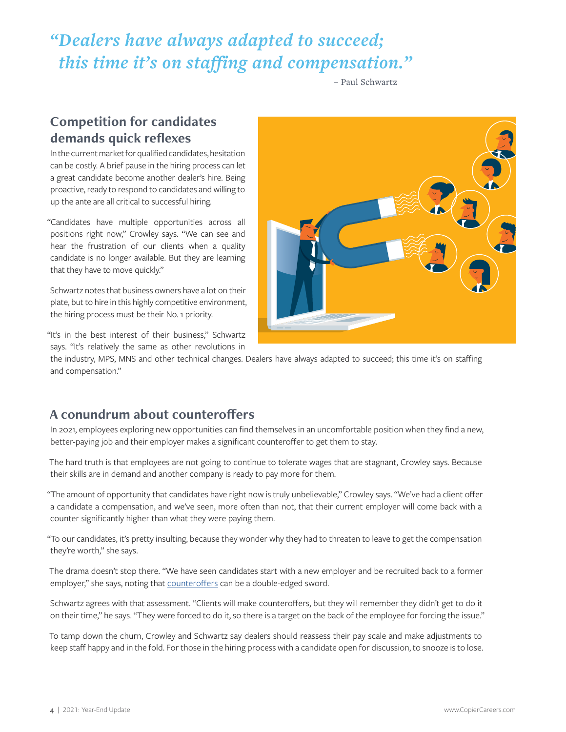## *"Dealers have always adapted to succeed; this time it's on staffing and compensation."*

– Paul Schwartz

## **Competition for candidates demands quick reflexes**

In the current market for qualified candidates, hesitation can be costly. A brief pause in the hiring process can let a great candidate become another dealer's hire. Being proactive, ready to respond to candidates and willing to up the ante are all critical to successful hiring.

"Candidates have multiple opportunities across all positions right now," Crowley says. "We can see and hear the frustration of our clients when a quality candidate is no longer available. But they are learning that they have to move quickly."

Schwartz notes that business owners have a lot on their plate, but to hire in this highly competitive environment, the hiring process must be their No. 1 priority.

"It's in the best interest of their business," Schwartz says. "It's relatively the same as other revolutions in



the industry, MPS, MNS and other technical changes. Dealers have always adapted to succeed; this time it's on staffing and compensation."

#### **A conundrum about counteroffers**

In 2021, employees exploring new opportunities can find themselves in an uncomfortable position when they find a new, better-paying job and their employer makes a significant counteroffer to get them to stay.

The hard truth is that employees are not going to continue to tolerate wages that are stagnant, Crowley says. Because their skills are in demand and another company is ready to pay more for them.

"The amount of opportunity that candidates have right now is truly unbelievable," Crowley says. "We've had a client offer a candidate a compensation, and we've seen, more often than not, that their current employer will come back with a counter significantly higher than what they were paying them.

"To our candidates, it's pretty insulting, because they wonder why they had to threaten to leave to get the compensation they're worth," she says.

The drama doesn't stop there. "We have seen candidates start with a new employer and be recruited back to a former employer," she says, noting that [counteroffers](https://www.thecannatareport.com/beyond-the-business/take-this-job-andoh-wait-you-have-a-counteroffer/) can be a double-edged sword.

Schwartz agrees with that assessment. "Clients will make counteroffers, but they will remember they didn't get to do it on their time," he says. "They were forced to do it, so there is a target on the back of the employee for forcing the issue."

To tamp down the churn, Crowley and Schwartz say dealers should reassess their pay scale and make adjustments to keep staff happy and in the fold. For those in the hiring process with a candidate open for discussion, to snooze is to lose.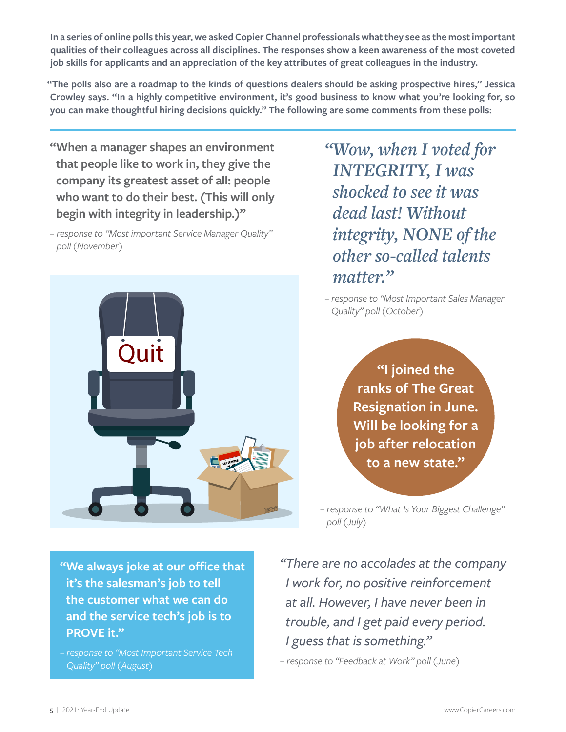**In a series of online polls this year, we asked Copier Channel professionals what they see as the most important qualities of their colleagues across all disciplines. The responses show a keen awareness of the most coveted job skills for applicants and an appreciation of the key attributes of great colleagues in the industry.**

**"The polls also are a roadmap to the kinds of questions dealers should be asking prospective hires," Jessica Crowley says. "In a highly competitive environment, it's good business to know what you're looking for, so you can make thoughtful hiring decisions quickly." The following are some comments from these polls:**

**"When a manager shapes an environment that people like to work in, they give the company its greatest asset of all: people who want to do their best. (This will only begin with integrity in leadership.)"**

*– response to "Most important Service Manager Quality" poll (November)*



*"Wow, when I voted for INTEGRITY, I was shocked to see it was dead last! Without integrity, NONE of the other so-called talents matter."*

*– response to "Most Important Sales Manager Quality" poll (October)*

> **"I joined the ranks of The Great Resignation in June. Will be looking for a job after relocation to a new state."**

*– response to "What Is Your Biggest Challenge" poll (July)*

**"We always joke at our office that it's the salesman's job to tell the customer what we can do and the service tech's job is to PROVE it."**

*– response to "Most Important Service Tech Quality" poll (August)*

*"There are no accolades at the company I work for, no positive reinforcement at all. However, I have never been in trouble, and I get paid every period. I guess that is something."*

*– response to "Feedback at Work" poll (June)*